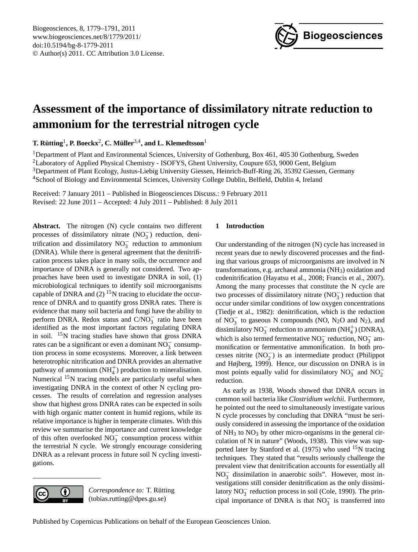

# <span id="page-0-0"></span>**Assessment of the importance of dissimilatory nitrate reduction to ammonium for the terrestrial nitrogen cycle**

 $\bf{T}$ . Rütting<sup>1</sup>, P. Boeckx<sup>2</sup>, C. Müller<sup>3,4</sup>, and L. Klemedtsson<sup>1</sup>

<sup>1</sup>Department of Plant and Environmental Sciences, University of Gothenburg, Box 461, 405 30 Gothenburg, Sweden Laboratory of Applied Physical Chemistry - ISOFYS, Ghent University, Coupure 653, 9000 Gent, Belgium Department of Plant Ecology, Justus-Liebig University Giessen, Heinrich-Buff-Ring 26, 35392 Giessen, Germany School of Biology and Environmental Sciences, University College Dublin, Belfield, Dublin 4, Ireland

Received: 7 January 2011 – Published in Biogeosciences Discuss.: 9 February 2011 Revised: 22 June 2011 – Accepted: 4 July 2011 – Published: 8 July 2011

**Abstract.** The nitrogen (N) cycle contains two different processes of dissimilatory nitrate (NO<sub>3</sub>) reduction, denitrification and dissimilatory NO<sub>3</sub> reduction to ammonium (DNRA). While there is general agreement that the denitrification process takes place in many soils, the occurrence and importance of DNRA is generally not considered. Two approaches have been used to investigate DNRA in soil, (1) microbiological techniques to identify soil microorganisms capable of DNRA and  $(2)$  <sup>15</sup>N tracing to elucidate the occurrence of DNRA and to quantify gross DNRA rates. There is evidence that many soil bacteria and fungi have the ability to perform DNRA. Redox status and  $C/NO_3^-$  ratio have been identified as the most important factors regulating DNRA in soil.  $15N$  tracing studies have shown that gross DNRA rates can be a significant or even a dominant  $\overline{NO_3^-}$  consumption process in some ecosystems. Moreover, a link between heterotrophic nitrification and DNRA provides an alternative pathway of ammonium  $(NH_4^+)$  production to mineralisation. Numerical  $15N$  tracing models are particularly useful when investigating DNRA in the context of other N cycling processes. The results of correlation and regression analyses show that highest gross DNRA rates can be expected in soils with high organic matter content in humid regions, while its relative importance is higher in temperate climates. With this review we summarise the importance and current knowledge of this often overlooked  $\overline{NO_3^-}$  consumption process within the terrestrial N cycle. We strongly encourage considering DNRA as a relevant process in future soil N cycling investigations.



*Correspondence to:* T. Rütting (tobias.rutting@dpes.gu.se)

## **1 Introduction**

Our understanding of the nitrogen (N) cycle has increased in recent years due to newly discovered processes and the finding that various groups of microorganisms are involved in N transformations, e.g. archaeal ammonia (NH3) oxidation and codenitrification (Hayatsu et al., 2008; Francis et al., 2007). Among the many processes that constitute the N cycle are two processes of dissimilatory nitrate  $(NO<sub>3</sub><sup>-</sup>)$  reduction that occur under similar conditions of low oxygen concentrations (Tiedje et al., 1982): denitrification, which is the reduction of  $NO_3^-$  to gaseous N compounds (NO, N<sub>2</sub>O and N<sub>2</sub>), and dissimilatory  $NO_3^-$  reduction to ammonium (NH<sup>+</sup><sub>4</sub>) (DNRA), which is also termed fermentative  $NO_3^-$  reduction,  $NO_3^-$  ammonification or fermentative ammonification. In both processes nitrite  $(NO<sub>2</sub><sup>-</sup>)$  is an intermediate product (Philippot and Højberg, 1999). Hence, our discussion on DNRA is in most points equally valid for dissimilatory  $NO_3^-$  and  $NO_2^$ reduction.

As early as 1938, Woods showed that DNRA occurs in common soil bacteria like *Clostridium welchii*. Furthermore, he pointed out the need to simultaneously investigate various N cycle processes by concluding that DNRA "must be seriously considered in assessing the importance of the oxidation of  $NH<sub>3</sub>$  to  $NO<sub>3</sub>$  by other micro-organisms in the general circulation of N in nature" (Woods, 1938). This view was supported later by Stanford et al.  $(1975)$  who used <sup>15</sup>N tracing techniques. They stated that "results seriously challenge the prevalent view that denitrification accounts for essentially all  $NO<sub>3</sub><sup>-</sup>$  dissimilation in anaerobic soils". However, most investigations still consider denitrification as the only dissimilatory  $NO_3^-$  reduction process in soil (Cole, 1990). The principal importance of DNRA is that  $NO_3^-$  is transferred into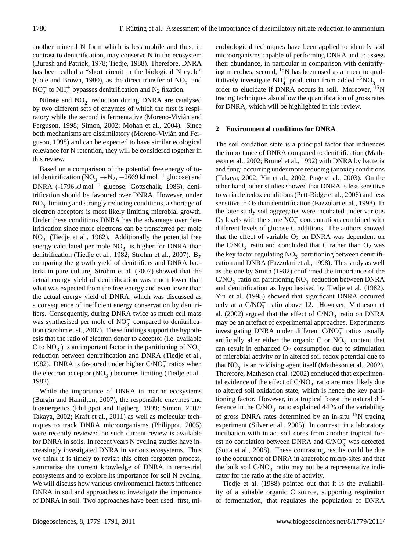another mineral N form which is less mobile and thus, in contrast to denitrification, may conserve N in the ecosystem (Buresh and Patrick, 1978; Tiedje, 1988). Therefore, DNRA has been called a "short circuit in the biological N cycle" (Cole and Brown, 1980), as the direct transfer of  $NO_3^-$  and NO<sub>2</sub> to NH<sup>+</sup><sub>4</sub> bypasses denitrification and N<sub>2</sub> fixation.

Nitrate and  $NO<sub>2</sub><sup>-</sup>$  reduction during DNRA are catalysed by two different sets of enzymes of which the first is respiratory while the second is fermentative (Moreno-Vivián and Ferguson, 1998; Simon, 2002; Mohan et al., 2004). Since both mechanisms are dissimilatory (Moreno-Vivián and Ferguson, 1998) and can be expected to have similar ecological relevance for N retention, they will be considered together in this review.

Based on a comparison of the potential free energy of total denitrification ( $NO_3^-$  →  $N_2$ ,  $-2669$  kJ mol<sup>-1</sup> glucose) and DNRA (-1796 kJ mol−<sup>1</sup> glucose; Gottschalk, 1986), denitrification should be favoured over DNRA. However, under NO<sub>3</sub> limiting and strongly reducing conditions, a shortage of electron acceptors is most likely limiting microbial growth. Under these conditions DNRA has the advantage over denitrification since more electrons can be transferred per mole NO<sup>−</sup> 3 (Tiedje et al., 1982). Additionally the potential free energy calculated per mole  $NO<sub>3</sub><sup>-</sup>$  is higher for DNRA than denitrification (Tiedje et al., 1982; Strohm et al., 2007). By comparing the growth yield of denitrifiers and DNRA bacteria in pure culture, Strohm et al. (2007) showed that the actual energy yield of denitrification was much lower than what was expected from the free energy and even lower than the actual energy yield of DNRA, which was discussed as a consequence of inefficient energy conservation by denitrifiers. Consequently, during DNRA twice as much cell mass was synthesised per mole of  $NO_3^-$  compared to denitrification (Strohm et al., 2007). These findings support the hypothesis that the ratio of electron donor to acceptor (i.e. available C to  $NO_3^-$ ) is an important factor in the partitioning of  $NO_3^$ reduction between denitrification and DNRA (Tiedje et al., 1982). DNRA is favoured under higher  $C/NO_3^-$  ratios when the electron acceptor  $(NO<sub>3</sub><sup>-</sup>)$  becomes limiting (Tiedje et al., 1982).

While the importance of DNRA in marine ecosystems (Burgin and Hamilton, 2007), the responsible enzymes and bioenergetics (Philippot and Højberg, 1999; Simon, 2002; Takaya, 2002; Kraft et al., 2011) as well as molecular techniques to track DNRA microorganisms (Philippot, 2005) were recently reviewed no such current review is available for DNRA in soils. In recent years N cycling studies have increasingly investigated DNRA in various ecosystems. Thus we think it is timely to revisit this often forgotten process, summarise the current knowledge of DNRA in terrestrial ecosystems and to explore its importance for soil N cycling. We will discuss how various environmental factors influence DNRA in soil and approaches to investigate the importance of DNRA in soil. Two approaches have been used: first, microbiological techniques have been applied to identify soil microorganisms capable of performing DNRA and to assess their abundance, in particular in comparison with denitrifying microbes; second,  $15N$  has been used as a tracer to qualitatively investigate  $NH_4^+$  production from added <sup>15</sup>NO<sub>3</sub> in order to elucidate if DNRA occurs in soil. Moreover, <sup>15</sup>N tracing techniques also allow the quantification of gross rates for DNRA, which will be highlighted in this review.

#### **2 Environmental conditions for DNRA**

The soil oxidation state is a principal factor that influences the importance of DNRA compared to denitrification (Matheson et al., 2002; Brunel et al., 1992) with DNRA by bacteria and fungi occurring under more reducing (anoxic) conditions (Takaya, 2002; Yin et al., 2002; Page et al., 2003). On the other hand, other studies showed that DNRA is less sensitive to variable redox conditions (Pett-Ridge et al., 2006) and less sensitive to  $O_2$  than denitrification (Fazzolari et al., 1998). In the later study soil aggregates were incubated under various  $O_2$  levels with the same  $NO_3^-$  concentrations combined with different levels of glucose C additions. The authors showed that the effect of variable  $O_2$  on DNRA was dependent on the  $C/NO_3^-$  ratio and concluded that C rather than  $O_2$  was the key factor regulating  $NO_3^-$  partitioning between denitrification and DNRA (Fazzolari et al., 1998). This study as well as the one by Smith (1982) confirmed the importance of the C/NO<sub>3</sub> ratio on partitioning NO<sub>3</sub> reduction between DNRA and denitrification as hypothesised by Tiedje et al. (1982). Yin et al. (1998) showed that significant DNRA occurred only at a  $C/NO_3^-$  ratio above 12. However, Matheson et al. (2002) argued that the effect of  $C/NO_3^-$  ratio on DNRA may be an artefact of experimental approaches. Experiments investigating DNRA under different C/NO<sup>−</sup> 3 ratios usually artificially alter either the organic C or  $NO_3^-$  content that can result in enhanced  $O_2$  consumption due to stimulation of microbial activity or in altered soil redox potential due to that  $NO_3^-$  is an oxidising agent itself (Matheson et al., 2002). Therefore, Matheson et al. (2002) concluded that experimental evidence of the effect of  $C/NO_3^-$  ratio are most likely due to altered soil oxidation state, which is hence the key partitioning factor. However, in a tropical forest the natural difference in the  $C/NO_3^-$  ratio explained 44 % of the variability of gross DNRA rates determined by an in-situ  $^{15}$ N tracing experiment (Silver et al., 2005). In contrast, in a laboratory incubation with intact soil cores from another tropical forest no correlation between DNRA and  $C/NO_3^-$  was detected (Sotta et al., 2008). These contrasting results could be due to the occurrence of DNRA in anaerobic micro-sites and that the bulk soil  $C/NO_3^-$  ratio may not be a representative indicator for the ratio at the site of activity.

Tiedje et al. (1988) pointed out that it is the availability of a suitable organic C source, supporting respiration or fermentation, that regulates the population of DNRA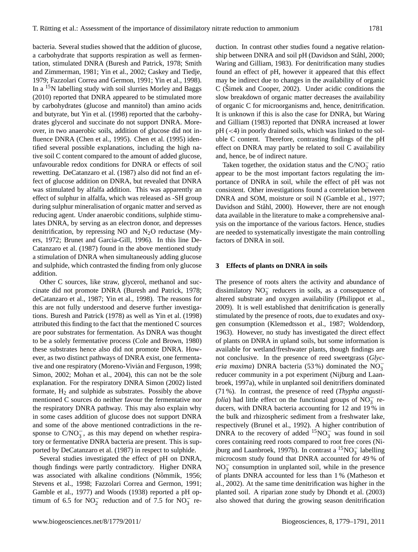bacteria. Several studies showed that the addition of glucose, a carbohydrate that supports respiration as well as fermentation, stimulated DNRA (Buresh and Patrick, 1978; Smith and Zimmerman, 1981; Yin et al., 2002; Caskey and Tiedje, 1979; Fazzolari Correa and Germon, 1991; Yin et al., 1998). In a  ${}^{15}N$  labelling study with soil slurries Morley and Baggs (2010) reported that DNRA appeared to be stimulated more by carbohydrates (glucose and mannitol) than amino acids and butyrate, but Yin et al. (1998) reported that the carbohydrates glycerol and succinate do not support DNRA. Moreover, in two anaerobic soils, addition of glucose did not influence DNRA (Chen et al., 1995). Chen et al. (1995) identified several possible explanations, including the high native soil C content compared to the amount of added glucose, unfavourable redox conditions for DNRA or effects of soil rewetting. DeCatanzaro et al. (1987) also did not find an effect of glucose addition on DNRA, but revealed that DNRA was stimulated by alfalfa addition. This was apparently an effect of sulphur in alfalfa, which was released as -SH group during sulphur mineralisation of organic matter and served as reducing agent. Under anaerobic conditions, sulphide stimulates DNRA, by serving as an electron donor, and depresses denitrification, by repressing NO and  $N_2O$  reductase (Myers, 1972; Brunet and Garcia-Gill, 1996). In this line De-Catanzaro et al. (1987) found in the above mentioned study a stimulation of DNRA when simultaneously adding glucose and sulphide, which contrasted the finding from only glucose addition.

Other C sources, like straw, glycerol, methanol and succinate did not promote DNRA (Buresh and Patrick, 1978; deCatanzaro et al., 1987; Yin et al., 1998). The reasons for this are not fully understood and deserve further investigations. Buresh and Patrick (1978) as well as Yin et al. (1998) attributed this finding to the fact that the mentioned C sources are poor substrates for fermentation. As DNRA was thought to be a solely fermentative process (Cole and Brown, 1980) these substrates hence also did not promote DNRA. However, as two distinct pathways of DNRA exist, one fermentative and one respiratory (Moreno-Vivián and Ferguson, 1998; Simon, 2002; Mohan et al., 2004), this can not be the sole explanation. For the respiratory DNRA Simon (2002) listed formate,  $H_2$  and sulphide as substrates. Possibly the above mentioned C sources do neither favour the fermentative nor the respiratory DNRA pathway. This may also explain why in some cases addition of glucose does not support DNRA and some of the above mentioned contradictions in the response to  $C/NO_3^-$ , as this may depend on whether respiratory or fermentative DNRA bacteria are present. This is supported by DeCatanzaro et al. (1987) in respect to sulphide.

Several studies investigated the effect of pH on DNRA, though findings were partly contradictory. Higher DNRA was associated with alkaline conditions (Nõmmik, 1956; Stevens et al., 1998; Fazzolari Correa and Germon, 1991; Gamble et al., 1977) and Woods (1938) reported a pH optimum of 6.5 for  $NO_2^-$  reduction and of 7.5 for  $NO_3^-$  reduction. In contrast other studies found a negative relationship between DNRA and soil pH (Davidson and Ståhl, 2000; Waring and Gilliam, 1983). For denitrification many studies found an effect of pH, however it appeared that this effect may be indirect due to changes in the availability of organic C (Simek and Cooper, 2002). Under acidic conditions the slow breakdown of organic matter decreases the availability of organic C for microorganisms and, hence, denitrification. It is unknown if this is also the case for DNRA, but Waring and Gilliam (1983) reported that DNRA increased at lower  $pH \left( \langle 4 \rangle$  in poorly drained soils, which was linked to the soluble C content. Therefore, contrasting findings of the pH effect on DNRA may partly be related to soil C availability and, hence, be of indirect nature.

Taken together, the oxidation status and the  $C/NO_3^-$  ratio appear to be the most important factors regulating the importance of DNRA in soil, while the effect of pH was not consistent. Other investigations found a correlation between DNRA and SOM, moisture or soil N (Gamble et al., 1977; Davidson and Ståhl, 2000). However, there are not enough data available in the literature to make a comprehensive analysis on the importance of the various factors. Hence, studies are needed to systematically investigate the main controlling factors of DNRA in soil.

#### **3 Effects of plants on DNRA in soils**

The presence of roots alters the activity and abundance of dissimilatory  $NO_3^-$  reducers in soils, as a consequence of altered substrate and oxygen availability (Philippot et al., 2009). It is well established that denitrification is generally stimulated by the presence of roots, due to exudates and oxygen consumption (Klemedtsson et al., 1987; Woldendorp, 1963). However, no study has investigated the direct effect of plants on DNRA in upland soils, but some information is available for wetland/freshwater plants, though findings are not conclusive. In the presence of reed sweetgrass (*Glyceria maxima*) DNRA bacteria (53%) dominated the  $\overline{NO_3^-}$ reducer community in a pot experiment (Nijburg and Laanbroek, 1997a), while in unplanted soil denitrifiers dominated (71 %). In contrast, the presence of reed (*Thypha angustifolia*) had little effect on the functional groups of  $NO_3^-$  reducers, with DNRA bacteria accounting for 12 and 19 % in the bulk and rhizospheric sediment from a freshwater lake, respectively (Brunel et al., 1992). A higher contribution of DNRA to the recovery of added  $15NO_3^-$  was found in soil cores containing reed roots compared to root free cores (Nijburg and Laanbroek, 1997b). In contrast a  ${}^{15}NO_3^-$  labelling microcosm study found that DNRA accounted for 49 % of NO<sub>3</sub> consumption in unplanted soil, while in the presence of plants DNRA accounted for less than 1 % (Matheson et al., 2002). At the same time denitrification was higher in the planted soil. A riparian zone study by Dhondt et al. (2003) also showed that during the growing season denitrification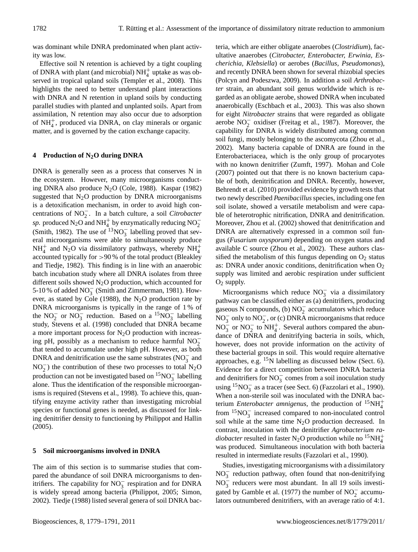was dominant while DNRA predominated when plant activity was low.

Effective soil N retention is achieved by a tight coupling of DNRA with plant (and microbial)  $NH<sub>4</sub><sup>+</sup>$  uptake as was observed in tropical upland soils (Templer et al., 2008). This highlights the need to better understand plant interactions with DNRA and N retention in upland soils by conducting parallel studies with planted and unplanted soils. Apart from assimilation, N retention may also occur due to adsorption of NH<sup>+</sup> 4 , produced via DNRA, on clay minerals or organic matter, and is governed by the cation exchange capacity.

## **4 Production of N2O during DNRA**

DNRA is generally seen as a process that conserves N in the ecosystem. However, many microorganisms conducting DNRA also produce  $N_2O$  (Cole, 1988). Kaspar (1982) suggested that  $N_2O$  production by DNRA microorganisms is a detoxification mechanism, in order to avoid high concentrations of NO<sup>−</sup> 2 . In a batch culture, a soil *Citrobacter sp.* produced N<sub>2</sub>O and NH<sup>+</sup><sub>4</sub> by enzymatically reducing NO<sup>-</sup><sub>2</sub> (Smith, 1982). The use of  $13NO_3^-$  labelling proved that several microorganisms were able to simultaneously produce  $NH_4^+$  and N<sub>2</sub>O via dissimilatory pathways, whereby  $NH_4^+$ accounted typically for >90 % of the total product (Bleakley and Tiedje, 1982). This finding is in line with an anaerobic batch incubation study where all DNRA isolates from three different soils showed  $N_2O$  production, which accounted for 5-10 % of added  $NO_3^-$  (Smith and Zimmerman, 1981). However, as stated by Cole (1988), the  $N_2O$  production rate by DNRA microorganisms is typically in the range of 1 % of the NO<sub>2</sub> or NO<sub>3</sub> reduction. Based on a <sup>15</sup>NO<sub>3</sub> labelling study, Stevens et al. (1998) concluded that DNRA became a more important process for  $N_2O$  production with increasing pH, possibly as a mechanism to reduce harmful  $NO<sub>2</sub>$ that tended to accumulate under high pH. However, as both DNRA and denitrification use the same substrates ( $NO<sub>3</sub><sup>-</sup>$  and  $NO<sub>2</sub><sup>-</sup>$ ) the contribution of these two processes to total  $N<sub>2</sub>O$ production can not be investigated based on  ${}^{15}NO_3^-$  labelling alone. Thus the identification of the responsible microorganisms is required (Stevens et al., 1998). To achieve this, quantifying enzyme activity rather than investigating microbial species or functional genes is needed, as discussed for linking denitrifier density to functioning by Philippot and Hallin (2005).

## **5 Soil microorganisms involved in DNRA**

The aim of this section is to summarise studies that compared the abundance of soil DNRA microorganisms to denitrifiers. The capability for  $NO_3^-$  respiration and for DNRA is widely spread among bacteria (Philippot, 2005; Simon, 2002). Tiedje (1988) listed several genera of soil DNRA bacteria, which are either obligate anaerobes (*Clostridium*), facultative anaerobes (*Citrobacter, Enterobacter, Erwinia, Escherichia, Klebsiella*) or aerobes (*Bacillus, Pseudomonas*), and recently DNRA been shown for several rhizobial species (Polcyn and Podeszwa, 2009). In addition a soil *Arthrobacter* strain, an abundant soil genus worldwide which is regarded as an obligate aerobe, showed DNRA when incubated anaerobically (Eschbach et al., 2003). This was also shown for eight *Nitrobacter* strains that were regarded as obligate aerobe  $NO<sub>2</sub><sup>-</sup>$  oxidiser (Freitag et al., 1987). Moreover, the capability for DNRA is widely distributed among common soil fungi, mostly belonging to the ascomycota (Zhou et al., 2002). Many bacteria capable of DNRA are found in the Enterobacteriacea, which is the only group of procaryotes with no known denitrifier (Zumft, 1997). Mohan and Cole (2007) pointed out that there is no known bacterium capable of both, denitrification and DNRA. Recently, however, Behrendt et al. (2010) provided evidence by growth tests that two newly described *Paenibacillus* species, including one fen soil isolate, showed a versatile metabolism and were capable of heterotrophic nitrification, DNRA and denitrification. Moreover, Zhou et al. (2002) showed that denitrification and DNRA are alternatively expressed in a common soil fungus (*Fusarium oxysporum*) depending on oxygen status and available C source (Zhou et al., 2002). These authors classified the metabolism of this fungus depending on  $O_2$  status as: DNRA under anoxic conditions, denitrification when  $O_2$ supply was limited and aerobic respiration under sufficient  $O<sub>2</sub>$  supply.

Microorganisms which reduce  $NO_3^-$  via a dissimilatory pathway can be classified either as (a) denitrifiers, producing gaseous N compounds, (b)  $NO<sub>2</sub><sup>-</sup>$  accumulators which reduce NO<sub>3</sub> only to NO<sub>2</sub>, or (c) DNRA microorganisms that reduce  $NO_3^-$  or  $NO_2^-$  to  $NH_4^+$ . Several authors compared the abundance of DNRA and denitrifying bacteria in soils, which, however, does not provide information on the activity of these bacterial groups in soil. This would require alternative approaches, e.g.  $^{15}N$  labelling as discussed below (Sect. 6). Evidence for a direct competition between DNRA bacteria and denitrifiers for  $NO_3^-$  comes from a soil inoculation study using  $15NO_3^-$  as a tracer (see Sect. 6) (Fazzolari et al., 1990). When a non-sterile soil was inoculated with the DNRA bacterium *Enterobacter amnigenus*, the production of  ${}^{15}NH_4^+$ from  ${}^{15}NO_3^-$  increased compared to non-inoculated control soil while at the same time  $N_2O$  production decreased. In contrast, inoculation with the denitrifier *Agrobacterium radiobacter* resulted in faster N<sub>2</sub>O production while no <sup>15</sup>NH<sup>+</sup><sub>4</sub> was produced. Simultaneous inoculation with both bacteria resulted in intermediate results (Fazzolari et al., 1990).

Studies, investigating microorganisms with a dissimilatory NO<sub>3</sub> reduction pathway, often found that non-denitrifying  $NO_3^-$  reducers were most abundant. In all 19 soils investigated by Gamble et al. (1977) the number of  $NO<sub>2</sub><sup>-</sup>$  accumulators outnumbered denitrifiers, with an average ratio of 4:1.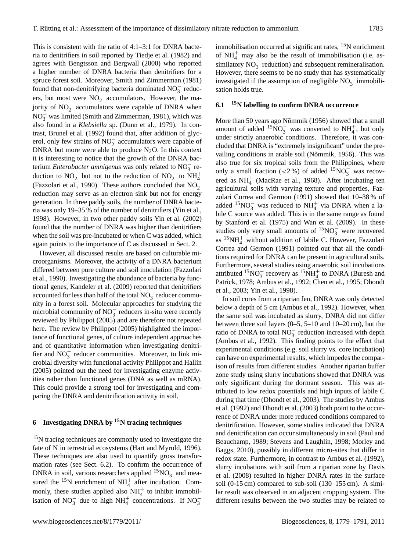This is consistent with the ratio of 4:1–3:1 for DNRA bacteria to denitrifiers in soil reported by Tiedje et al. (1982) and agrees with Bengtsson and Bergwall (2000) who reported a higher number of DNRA bacteria than denitrifiers for a spruce forest soil. Moreover, Smith and Zimmerman (1981) found that non-denitrifying bacteria dominated  $NO<sub>3</sub><sup>-</sup>$  reducers, but most were  $NO<sub>2</sub><sup>-</sup>$  accumulators. However, the majority of  $NO_2^-$  accumulators were capable of DNRA when  $NO<sub>3</sub><sup>-</sup>$  was limited (Smith and Zimmerman, 1981), which was also found in a *Klebsiella* sp. (Dunn et al., 1979). In contrast, Brunel et al. (1992) found that, after addition of glycerol, only few strains of  $NO<sub>2</sub><sup>-</sup>$  accumulators were capable of DNRA but more were able to produce  $N_2O$ . In this context it is interesting to notice that the growth of the DNRA bacterium *Enterobacter amnigenus* was only related to NO<sup>−</sup> 3 reduction to  $NO_2^-$  but not to the reduction of  $NO_2^-$  to  $NH_4^+$ (Fazzolari et al., 1990). These authors concluded that  $NO<sub>2</sub>$ reduction may serve as an electron sink but not for energy generation. In three paddy soils, the number of DNRA bacteria was only 19–35 % of the number of denitrifiers (Yin et al., 1998). However, in two other paddy soils Yin et al. (2002) found that the number of DNRA was higher than denitrifiers when the soil was pre-incubated or when C was added, which again points to the importance of C as discussed in Sect. 2.

However, all discussed results are based on culturable microorganisms. Moreover, the activity of a DNRA bacterium differed between pure culture and soil inoculation (Fazzolari et al., 1990). Investigating the abundance of bacteria by functional genes, Kandeler et al. (2009) reported that denitrifiers accounted for less than half of the total  $NO_3^-$  reducer community in a forest soil. Molecular approaches for studying the microbial community of  $NO_3^-$  reducers in-situ were recently reviewed by Philippot (2005) and are therefore not repeated here. The review by Philippot (2005) highlighted the importance of functional genes, of culture independent approaches and of quantitative information when investigating denitrifier and  $\overline{NO_3}^-$  reducer communities. Moreover, to link microbial diversity with functional activity Philippot and Hallin (2005) pointed out the need for investigating enzyme activities rather than functional genes (DNA as well as mRNA). This could provide a strong tool for investigating and comparing the DNRA and denitrification activity in soil.

# **6 Investigating DNRA by <sup>15</sup>N tracing techniques**

<sup>15</sup>N tracing techniques are commonly used to investigate the fate of N in terrestrial ecosystems (Hart and Myrold, 1996). These techniques are also used to quantify gross transformation rates (see Sect. 6.2). To confirm the occurrence of DNRA in soil, various researchers applied  $15NO_3^-$  and measured the <sup>15</sup>N enrichment of  $NH_4^+$  after incubation. Commonly, these studies applied also  $NH<sub>4</sub><sup>+</sup>$  to inhibit immobilisation of NO<sub>3</sub><sup>-</sup> due to high NH<sup>+</sup><sub>4</sub><sup>-</sup> concentrations. If NO<sub>3</sub><sup>-</sup>

immobilisation occurred at significant rates,  ${}^{15}N$  enrichment of  $NH<sub>4</sub><sup>+</sup>$  may also be the result of immobilisation (i.e. assimilatory  $NO_3^-$  reduction) and subsequent remineralisation. However, there seems to be no study that has systematically investigated if the assumption of negligible  $NO_3^-$  immobilisation holds true.

## **6.1 <sup>15</sup>N labelling to confirm DNRA occurrence**

More than 50 years ago Nõmmik (1956) showed that a small amount of added <sup>15</sup>NO<sub>3</sub> was converted to NH<sub>4</sub><sup>+</sup>, but only under strictly anaerobic conditions. Therefore, it was concluded that DNRA is "extremely insignificant" under the prevailing conditions in arable soil (Nõmmik, 1956). This was also true for six tropical soils from the Philippines, where only a small fraction (<2 %) of added  $15NO_3^-$  was recovered as  $NH<sub>4</sub><sup>+</sup>$  (MacRae et al., 1968). After incubating ten agricultural soils with varying texture and properties, Fazzolari Correa and Germon (1991) showed that 10–38 % of added <sup>15</sup>NO<sub>3</sub> was reduced to NH<sub>4</sub><sup>+</sup> via DNRA when a labile C source was added. This is in the same range as found by Stanford et al. (1975) and Wan et al. (2009). In these studies only very small amounts of  $15NO_3^-$  were recovered as  $15NH_4^+$  without addition of labile C. However, Fazzolari Correa and Germon (1991) pointed out that all the conditions required for DNRA can be present in agricultural soils. Furthermore, several studies using anaerobic soil incubations attributed  ${}^{15}NO_3^-$  recovery as  ${}^{15}NH_4^+$  to DNRA (Buresh and Patrick, 1978; Ambus et al., 1992; Chen et al., 1995; Dhondt et al., 2003; Yin et al., 1998).

In soil cores from a riparian fen, DNRA was only detected below a depth of 5 cm (Ambus et al., 1992). However, when the same soil was incubated as slurry, DNRA did not differ between three soil layers (0–5, 5–10 and 10–20 cm), but the ratio of DNRA to total  $NO_3^-$  reduction increased with depth (Ambus et al., 1992). This finding points to the effect that experimental conditions (e.g. soil slurry vs. core incubation) can have on experimental results, which impedes the comparison of results from different studies. Another riparian buffer zone study using slurry incubations showed that DNRA was only significant during the dormant season. This was attributed to low redox potentials and high inputs of labile C during that time (Dhondt et al., 2003). The studies by Ambus et al. (1992) and Dhondt et al. (2003) both point to the occurrence of DNRA under more reduced conditions compared to denitrification. However, some studies indicated that DNRA and denitrification can occur simultaneously in soil (Paul and Beauchamp, 1989; Stevens and Laughlin, 1998; Morley and Baggs, 2010), possibly in different micro-sites that differ in redox state. Furthermore, in contrast to Ambus et al. (1992), slurry incubations with soil from a riparian zone by Davis et al. (2008) resulted in higher DNRA rates in the surface soil (0-15 cm) compared to sub-soil (130–155 cm). A similar result was observed in an adjacent cropping system. The different results between the two studies may be related to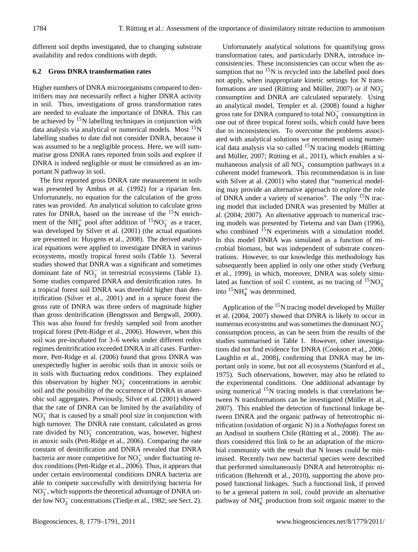different soil depths investigated, due to changing substrate availability and redox conditions with depth.

## **6.2 Gross DNRA transformation rates**

Higher numbers of DNRA microorganisms compared to denitrifiers may not necessarily reflect a higher DNRA activity in soil. Thus, investigations of gross transformation rates are needed to evaluate the importance of DNRA. This can be achieved by  $15N$  labelling techniques in conjunction with data analysis via analytical or numerical models. Most <sup>15</sup>N labelling studies to date did not consider DNRA, because it was assumed to be a negligible process. Here, we will summarise gross DNRA rates reported from soils and explore if DNRA is indeed negligible or must be considered as an important N pathway in soil.

The first reported gross DNRA rate measurement in soils was presented by Ambus et al. (1992) for a riparian fen. Unfortunately, no equation for the calculation of the gross rates was provided. An analytical solution to calculate gross rates for DNRA, based on the increase of the <sup>15</sup>N enrichment of the NH<sup>+</sup> pool after addition of <sup>15</sup>NO<sub>3</sub> as a tracer, was developed by Silver et al. (2001) (the actual equations are presented in: Huygens et al., 2008). The derived analytical equations were applied to investigate DNRA in various ecosystems, mostly tropical forest soils (Table 1). Several studies showed that DNRA was a significant and sometimes dominant fate of  $NO_3^-$  in terrestrial ecosystems (Table 1). Some studies compared DNRA and denitrification rates. In a tropical forest soil DNRA was threefold higher than denitrification (Silver et al., 2001) and in a spruce forest the gross rate of DNRA was three orders of magnitude higher than gross denitrification (Bengtsson and Bergwall, 2000). This was also found for freshly sampled soil from another tropical forest (Pett-Ridge et al., 2006). However, when this soil was pre-incubated for 3–6 weeks under different redox regimes denitrification exceeded DNRA in all cases. Furthermore, Pett-Ridge et al. (2006) found that gross DNRA was unexpectedly higher in aerobic soils than in anoxic soils or in soils with fluctuating redox conditions. They explained this observation by higher  $NO_3^-$  concentrations in aerobic soil and the possibility of the occurrence of DNRA in anaerobic soil aggregates. Previously, Silver et al. (2001) showed that the rate of DNRA can be limited by the availability of  $NO<sub>3</sub><sup>-</sup>$  that is caused by a small pool size in conjunction with high turnover. The DNRA rate constant, calculated as gross rate divided by NO<sub>3</sub> concentration, was, however, highest in anoxic soils (Pett-Ridge et al., 2006). Comparing the rate constant of denitrification and DNRA revealed that DNRA bacteria are more competitive for  $NO_3^-$  under fluctuating redox conditions (Pett-Ridge et al., 2006). Thus, it appears that under certain environmental conditions DNRA bacteria are able to compete successfully with denitrifying bacteria for  $NO_3^-$ , which supports the theoretical advantage of DNRA under low  $NO_3^-$  concentrations (Tiedje et al., 1982; see Sect. 2).

Unfortunately analytical solutions for quantifying gross transformation rates, and particularly DNRA, introduce inconsistencies. These inconsistencies can occur when the assumption that no  $15N$  is recycled into the labelled pool does not apply, when inappropriate kinetic settings for N transformations are used (Rütting and Müller, 2007) or if  $NO_3^-$ 3 consumption and DNRA are calculated separately. Using an analytical model, Templer et al. (2008) found a higher gross rate for DNRA compared to total  $NO_3^-$  consumption in one out of three tropical forest soils, which could have been due to inconsistencies. To overcome the problems associated with analytical solutions we recommend using numerical data analysis via so called  $15N$  tracing models (Rütting and Müller,  $2007$ ; Rütting et al.,  $2011$ ), which enables a simultaneous analysis of all  $NO_3^-$  consumption pathways in a coherent model framework. This recommendation is in line with Silver at al. (2001) who stated that "numerical modeling may provide an alternative approach to explore the role of DNRA under a variety of scenarios". The only  $15N$  tracing model that included DNRA was presented by Müller at al. (2004; 2007). An alternative approach to numerical tracing models was presented by Tietema and van Dam (1996), who combined  $^{15}N$  experiments with a simulation model. In this model DNRA was simulated as a function of microbial biomass, but was independent of substrate concentrations. However, to our knowledge this methodology has subsequently been applied in only one other study (Verburg et al., 1999), in which, moreover, DNRA was solely simulated as function of soil C content, as no tracing of  ${}^{15}NO_3^$ into  ${}^{15}NH_4^+$  was determined.

Application of the  $15N$  tracing model developed by Müller et al. (2004, 2007) showed that DNRA is likely to occur in numerous ecosystems and was sometimes the dominant  $NO_3^$ consumption process, as can be seen from the results of the studies summarised in Table 1. However, other investigations did not find evidence for DNRA (Cookson et al., 2006; Laughlin et al., 2008), confirming that DNRA may be important only in some, but not all ecosystems (Stanford et al., 1975). Such observations, however, may also be related to the experimental conditions. One additional advantage by using numerical  $15N$  tracing models is that correlations between N transformations can be investigated (Müller et al., 2007). This enabled the detection of functional linkage between DNRA and the organic pathway of heterotrophic nitrification (oxidation of organic N) in a *Nothofagus* forest on an Andisol in southern Chile (Rütting et al., 2008). The authors considered this link to be an adaptation of the microbial community with the result that N losses could be minimised. Recently two new bacterial species were described that performed simultaneously DNRA and heterotrophic nitrification (Behrendt et al., 2010), supporting the above proposed functional linkages. Such a functional link, if proved to be a general pattern in soil, could provide an alternative pathway of  $NH_4^+$  production from soil organic matter to the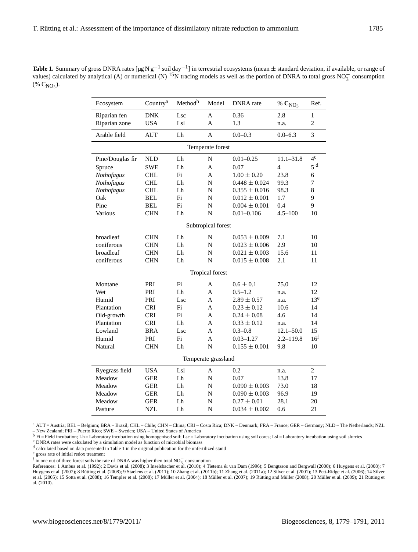| <b>Table 1.</b> Summary of gross DNRA rates $[\mu g N g^{-1} \text{ soil day}^{-1}]$ in terrestrial ecosystems (mean $\pm$ standard deviation, if available, or range of |  |
|--------------------------------------------------------------------------------------------------------------------------------------------------------------------------|--|
| values) calculated by analytical (A) or numerical (N) <sup>15</sup> N tracing models as well as the portion of DNRA to total gross NO <sub>2</sub> consumption           |  |
| $(\% C_{N}\Omega_{2}).$                                                                                                                                                  |  |

| Ecosystem           | Country <sup>a</sup> | Method <sup>b</sup> | Model               | DNRA rate         | % $C_{NO_3}$   | Ref.            |  |  |
|---------------------|----------------------|---------------------|---------------------|-------------------|----------------|-----------------|--|--|
| Riparian fen        | <b>DNK</b>           | Lsc<br>A<br>0.36    |                     | 2.8               | $\mathbf{1}$   |                 |  |  |
| Riparian zone       | <b>USA</b>           | Lsl                 | A                   | 1.3               | n.a.           | $\overline{c}$  |  |  |
| Arable field        | <b>AUT</b>           | Lh                  | $\overline{A}$      | $0.0 - 0.3$       | $0.0 - 6.3$    | 3               |  |  |
| Temperate forest    |                      |                     |                     |                   |                |                 |  |  |
| Pine/Douglas fir    | <b>NLD</b>           | Lh                  | $\mathbf N$         | $0.01 - 0.25$     | $11.1 - 31.8$  | 4 <sup>c</sup>  |  |  |
| Spruce              | <b>SWE</b>           | Lh                  | A                   | 0.07              | $\overline{4}$ | $5\;\mathrm{d}$ |  |  |
| Nothofagus          | <b>CHL</b>           | Fi                  | A                   | $1.00 \pm 0.20$   | 23.8           | 6               |  |  |
| Nothofagus          | <b>CHL</b>           | Lh                  | N                   | $0.448 \pm 0.024$ | 99.3           | 7               |  |  |
| Nothofagus          | <b>CHL</b>           | Lh                  | $\mathbf N$         | $0.355 \pm 0.016$ | 98.3           | 8               |  |  |
| Oak                 | <b>BEL</b>           | Fi                  | N                   | $0.012 \pm 0.001$ | 1.7            | 9               |  |  |
| Pine                | <b>BEL</b>           | Fi                  | $\mathbf N$         | $0.004 \pm 0.001$ | 0.4            | 9               |  |  |
| Various             | <b>CHN</b>           | Lh                  | N                   | $0.01 - 0.106$    | $4.5 - 100$    | 10              |  |  |
| Subtropical forest  |                      |                     |                     |                   |                |                 |  |  |
| broadleaf           | <b>CHN</b>           | Lh                  | $\mathbf N$         | $0.053 \pm 0.009$ | 7.1            | 10              |  |  |
| coniferous          | <b>CHN</b>           | Lh                  | N                   | $0.023 \pm 0.006$ | 2.9            | 10              |  |  |
| broadleaf           | <b>CHN</b>           | Lh                  | $\mathbf N$         | $0.021 \pm 0.003$ | 15.6           | 11              |  |  |
| coniferous          | <b>CHN</b>           | Lh                  | N                   | $0.015 \pm 0.008$ | 2.1            | 11              |  |  |
| Tropical forest     |                      |                     |                     |                   |                |                 |  |  |
| Montane             | PRI                  | Fi                  | A                   | $0.6 \pm 0.1$     | 75.0           | 12              |  |  |
| Wet                 | PRI                  | Lh                  | A                   | $0.5 - 1.2$       | n.a.           | 12              |  |  |
| Humid               | PRI                  | Lsc                 | A                   | $2.89 \pm 0.57$   | n.a.           | 13 <sup>e</sup> |  |  |
| Plantation          | <b>CRI</b>           | Fi                  | A                   | $0.23 \pm 0.12$   | 10.6           | 14              |  |  |
| Old-growth          | <b>CRI</b>           | Fi                  | A                   | $0.24 \pm 0.08$   | 4.6            | 14              |  |  |
| Plantation          | <b>CRI</b>           | Lh                  | A                   | $0.33 \pm 0.12$   | n.a.           | 14              |  |  |
| Lowland             | <b>BRA</b>           | Lsc                 | A                   | $0.3 - 0.8$       | $12.1 - 50.0$  | 15              |  |  |
| Humid               | PRI                  | Fi                  | A                   | $0.03 - 1.27$     | $2.2 - 119.8$  | 16 <sup>f</sup> |  |  |
| Natural             | <b>CHN</b>           | Lh                  | N                   | $0.155 \pm 0.001$ | 9.8            | 10              |  |  |
| Temperate grassland |                      |                     |                     |                   |                |                 |  |  |
| Ryegrass field      | <b>USA</b>           | Lsl                 | A                   | 0.2               | n.a.           | $\overline{c}$  |  |  |
| Meadow              | <b>GER</b>           | Lh                  | $\mathbf N$<br>0.07 |                   | 13.8           | 17              |  |  |
| Meadow              | <b>GER</b>           | Lh                  | $\mathbf N$         | $0.090 \pm 0.003$ | 73.0           | 18              |  |  |
| Meadow              | <b>GER</b>           | Lh                  | $\mathbf N$         | $0.090 \pm 0.003$ | 96.9           | 19              |  |  |
| Meadow              | <b>GER</b>           | Lh                  | $\mathbf N$         | $0.27 \pm 0.01$   | 28.1           | 20              |  |  |
| Pasture             | <b>NZL</b>           | Lh                  | N                   | $0.034 \pm 0.002$ | 0.6            | 21              |  |  |
|                     |                      |                     |                     |                   |                |                 |  |  |

<sup>a</sup> AUT = Austria; BEL – Belgium; BRA – Brazil; CHL – Chile; CHN – China; CRI – Costa Rica; DNK – Denmark; FRA – France; GER – Germany; NLD – The Netherlands; NZL

– New Zealand; PRI – Puerto Rico; SWE – Sweden; USA – United States of America<br><sup>b</sup> Fi = Field incubation; Lh = Laboratory incubation using homogenised soil; Lsc = Laboratory incubation using soil cores; Lsl = Laboratory in

 $\textdegree$  DNRA rates were calculated by a simulation model as function of microbial biomass

<sup>d</sup> calculated based on data presented in Table 1 in the original publication for the unfertilized stand

<sup>e</sup> gross rate of initial redox treatment

f in one out of three forest soils the rate of DNRA was higher then total NO<sub>3</sub> consumption<br>References: 1 Ambus et al. (1992); 2 Davis et al. (2008); 3 Inselsbacher et al. (2010); 4 Tietema & van Dam (1996); 5 Bengtsson an et al. (2005); 15 Sotta et al. (2008); 16 Templer et al. (2008); 17 Müller et al. (2004); 18 Müller et al. (2007); 19 Rütting and Müller (2008); 20 Müller et al. (2009); 21 Rütting et<br>al. (2010).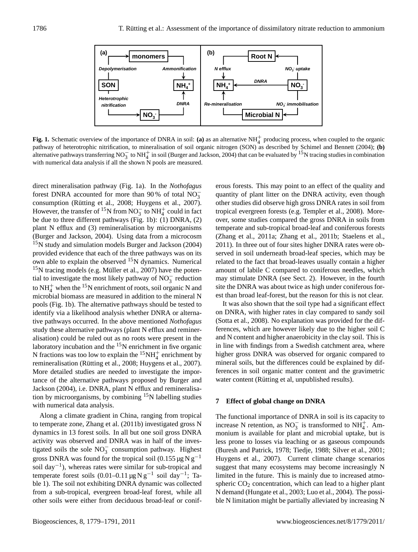

**Fig. 1.** Schematic overview of the importance of DNRA in soil: (a) as an alternative  $NH<sub>4</sub><sup>+</sup>$  producing process, when coupled to the organic pathway of heterotrophic nitrification, to mineralisation of soil organic nitrogen (SON) as described by Schimel and Bennett (2004); **(b)** alternative pathways transferring NO<sub>3</sub> to NH<sup>+</sup> in soil (Burger and Jackson, 2004) that can be evaluated by <sup>15</sup>N tracing studies in combination with numerical data analysis if all the shown N pools are measured.

direct mineralisation pathway (Fig. 1a). In the *Nothofagus* forest DNRA accounted for more than 90% of total  $\overline{NO_3^-}$ consumption (Rütting et al., 2008; Huygens et al., 2007). However, the transfer of <sup>15</sup>N from NO<sub>3</sub> to NH<sub>4</sub><sup>+</sup> could in fact be due to three different pathways (Fig. 1b): (1) DNRA, (2) plant N efflux and (3) remineralisation by microorganisms (Burger and Jackson, 2004). Using data from a microcosm <sup>15</sup>N study and simulation models Burger and Jackson (2004) provided evidence that each of the three pathways was on its own able to explain the observed  $^{15}N$  dynamics. Numerical  $15$ N tracing models (e.g. Müller et al., 2007) have the potential to investigate the most likely pathway of  $NO_3^-$  reduction to  $NH_4^+$  when the <sup>15</sup>N enrichment of roots, soil organic N and microbial biomass are measured in addition to the mineral N pools (Fig. 1b). The alternative pathways should be tested to identify via a likelihood analysis whether DNRA or alternative pathways occurred. In the above mentioned *Nothofagus* study these alternative pathways (plant N efflux and remineralisation) could be ruled out as no roots were present in the laboratory incubation and the  $15N$  enrichment in five organic N fractions was too low to explain the  ${}^{15}NH_4^+$  enrichment by remineralisation (Rütting et al., 2008; Huygens et al., 2007). More detailed studies are needed to investigate the importance of the alternative pathways proposed by Burger and Jackson (2004), i.e. DNRA, plant N efflux and remineralisation by microorganisms, by combining  $15N$  labelling studies with numerical data analysis.

Along a climate gradient in China, ranging from tropical to temperate zone, Zhang et al. (2011b) investigated gross N dynamics in 13 forest soils. In all but one soil gross DNRA activity was observed and DNRA was in half of the investigated soils the sole  $NO_3^-$  consumption pathway. Highest gross DNRA was found for the tropical soil (0.155 µg N g<sup>-1</sup> soil day−<sup>1</sup> ), whereas rates were similar for sub-tropical and temperate forest soils  $(0.01-0.11 \,\mu g\,\text{N}\,\text{g}^{-1}$  soil day<sup>-1</sup>; Table 1). The soil not exhibiting DNRA dynamic was collected from a sub-tropical, evergreen broad-leaf forest, while all other soils were either from deciduous broad-leaf or coniferous forests. This may point to an effect of the quality and quantity of plant litter on the DNRA activity, even though other studies did observe high gross DNRA rates in soil from tropical evergreen forests (e.g. Templer et al., 2008). Moreover, some studies compared the gross DNRA in soils from temperate and sub-tropical broad-leaf and coniferous forests (Zhang et al., 2011a; Zhang et al., 2011b; Staelens et al., 2011). In three out of four sites higher DNRA rates were observed in soil underneath broad-leaf species, which may be related to the fact that broad-leaves usually contain a higher amount of labile C compared to coniferous needles, which may stimulate DNRA (see Sect. 2). However, in the fourth site the DNRA was about twice as high under coniferous forest than broad leaf-forest, but the reason for this is not clear.

It was also shown that the soil type had a significant effect on DNRA, with higher rates in clay compared to sandy soil (Sotta et al., 2008). No explanation was provided for the differences, which are however likely due to the higher soil C and N content and higher anaerobicity in the clay soil. This is in line with findings from a Swedish catchment area, where higher gross DNRA was observed for organic compared to mineral soils, but the differences could be explained by differences in soil organic matter content and the gravimetric water content (Rütting et al, unpublished results).

#### **7 Effect of global change on DNRA**

The functional importance of DNRA in soil is its capacity to increase N retention, as  $NO_3^-$  is transformed to  $NH_4^+$ . Ammonium is available for plant and microbial uptake, but is less prone to losses via leaching or as gaseous compounds (Buresh and Patrick, 1978; Tiedje, 1988; Silver et al., 2001; Huygens et al., 2007). Current climate change scenarios suggest that many ecosystems may become increasingly N limited in the future. This is mainly due to increased atmospheric  $CO<sub>2</sub>$  concentration, which can lead to a higher plant N demand (Hungate et al., 2003; Luo et al., 2004). The possible N limitation might be partially alleviated by increasing N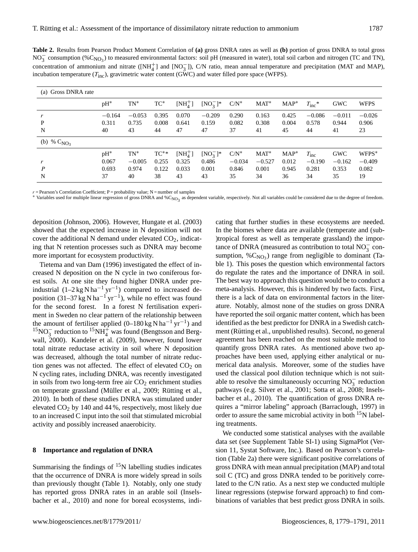**Table 2.** Results from Pearson Product Moment Correlation of **(a)** gross DNRA rates as well as **(b)** portion of gross DNRA to total gross NO<sub>3</sub> consumption (%C<sub>NO3</sub>) to measured environmental factors: soil pH (measured in water), total soil carbon and nitrogen (TC and TN), concentration of ammonium and nitrate ( $[NH_4^+]$  and  $[NO_3^-]$ ), C/N ratio, mean annual temperature and precipitation (MAT and MAP), incubation temperature  $(T_{\text{inc}})$ , gravimetric water content (GWC) and water filled pore space (WFPS).

| (a) Gross DNRA rate |          |          |        |                     |              |          |          |         |                  |            |             |
|---------------------|----------|----------|--------|---------------------|--------------|----------|----------|---------|------------------|------------|-------------|
|                     | $pH^*$   | $TN^*$   | $TC^*$ | $\text{[NH}_4^+]$   | $[NO_3^-]$ * | $C/N^*$  | $MAT^*$  | $MAP^*$ | $T_{\rm inc}$ *  | <b>GWC</b> | <b>WFPS</b> |
|                     | $-0.164$ | $-0.053$ | 0.395  | 0.070               | $-0.209$     | 0.290    | 0.163    | 0.425   | $-0.086$         | $-0.011$   | $-0.026$    |
| P                   | 0.311    | 0.735    | 0.008  | 0.641               | 0.159        | 0.082    | 0.308    | 0.004   | 0.578            | 0.944      | 0.906       |
| N                   | 40       | 43       | 44     | 47                  | 47           | 37       | 41       | 45      | 44               | 41         | 23          |
| (b) % $C_{NO_3}$    |          |          |        |                     |              |          |          |         |                  |            |             |
|                     | $pH^*$   | $TN^*$   | $TC^*$ | $\mathrm{[NH}_A^+]$ | $[NO_3^-]$ * | $C/N^*$  | $MAT^*$  | $MAP^*$ | $T_{\text{inc}}$ | <b>GWC</b> | $WFPS^*$    |
|                     | 0.067    | $-0.005$ | 0.255  | 0.325               | 0.486        | $-0.034$ | $-0.527$ | 0.012   | $-0.190$         | $-0.162$   | $-0.409$    |
| P                   | 0.693    | 0.974    | 0.122  | 0.033               | 0.001        | 0.846    | 0.001    | 0.945   | 0.281            | 0.353      | 0.082       |
| N                   | 37       | 40       | 38     | 43                  | 43           | 35       | 34       | 36      | 34               | 35         | 19          |

 $r =$  Pearson's Correlation Coefficient: P = probability value: N = number of samples

\* Variables used for multiple linear regression of gross DNRA and %C<sub>NO3</sub> as dependent variable, respectively. Not all variables could be considered due to the degree of freedom.

deposition (Johnson, 2006). However, Hungate et al. (2003) showed that the expected increase in N deposition will not cover the additional N demand under elevated  $CO<sub>2</sub>$ , indicating that N retention processes such as DNRA may become more important for ecosystem productivity.

Tietema and van Dam (1996) investigated the effect of increased N deposition on the N cycle in two coniferous forest soils. At one site they found higher DNRA under preindustrial  $(1-2 \text{ kg N} \text{ ha}^{-1} \text{ yr}^{-1})$  compared to increased deposition  $(31-37 \text{ kg N} \text{ ha}^{-1} \text{ yr}^{-1})$ , while no effect was found for the second forest. In a forest N fertilisation experiment in Sweden no clear pattern of the relationship between the amount of fertiliser applied  $(0-180 \text{ kg N} \text{ ha}^{-1} \text{ yr}^{-1})$  and <sup>15</sup>NO<sub>3</sub> reduction to <sup>15</sup>NH<sub>4</sub><sup>+</sup> was found (Bengtsson and Bergwall, 2000). Kandeler et al. (2009), however, found lower total nitrate reductase activity in soil where N deposition was decreased, although the total number of nitrate reduction genes was not affected. The effect of elevated  $CO<sub>2</sub>$  on N cycling rates, including DNRA, was recently investigated in soils from two long-term free air  $CO<sub>2</sub>$  enrichment studies on temperate grassland (Müller et al., 2009; Rütting et al., 2010). In both of these studies DNRA was stimulated under elevated CO<sup>2</sup> by 140 and 44 %, respectively, most likely due to an increased C input into the soil that stimulated microbial activity and possibly increased anaerobicity.

#### **8 Importance and regulation of DNRA**

Summarising the findings of  $15N$  labelling studies indicates that the occurrence of DNRA is more widely spread in soils than previously thought (Table 1). Notably, only one study has reported gross DNRA rates in an arable soil (Inselsbacher et al., 2010) and none for boreal ecosystems, indicating that further studies in these ecosystems are needed. In the biomes where data are available (temperate and (sub- )tropical forest as well as temperate grassland) the importance of DNRA (measured as contribution to total  $NO_3^-$  consumption,  $\%C_{NO_3}$ ) range from negligible to dominant (Table 1). This poses the question which environmental factors do regulate the rates and the importance of DNRA in soil. The best way to approach this question would be to conduct a meta-analysis. However, this is hindered by two facts. First, there is a lack of data on environmental factors in the literature. Notably, almost none of the studies on gross DNRA have reported the soil organic matter content, which has been identified as the best predictor for DNRA in a Swedish catchment (Rütting et al., unpublished results). Second, no general agreement has been reached on the most suitable method to quantify gross DNRA rates. As mentioned above two approaches have been used, applying either analytical or numerical data analysis. Moreover, some of the studies have used the classical pool dilution technique which is not suitable to resolve the simultaneously occurring  $NO_3^-$  reduction pathways (e.g. Silver et al., 2001; Sotta et al., 2008; Inselsbacher et al., 2010). The quantification of gross DNRA requires a "mirror labeling" approach (Barraclough, 1997) in order to assure the same microbial activity in both  $15N$  labeling treatments.

We conducted some statistical analyses with the available data set (see Supplement Table SI-1) using SigmaPlot (Version 11, Systat Software, Inc.). Based on Pearson's correlation (Table 2a) there were significant positive correlations of gross DNRA with mean annual precipitation (MAP) and total soil C (TC) and gross DNRA tended to be poritively correlated to the C/N ratio. As a next step we conducted multiple linear regressions (stepwise forward approach) to find combinations of variables that best predict gross DNRA in soils.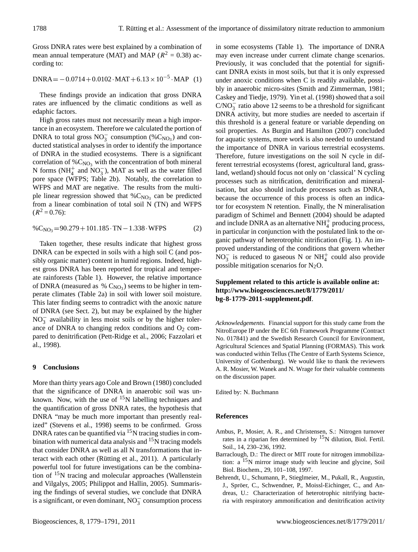Gross DNRA rates were best explained by a combination of mean annual temperature (MAT) and MAP ( $R^2 = 0.38$ ) according to:

 $DNRA = -0.0714 + 0.0102 \cdot MAT + 6.13 \times 10^{-5} \cdot MAP$  (1)

These findings provide an indication that gross DNRA rates are influenced by the climatic conditions as well as edaphic factors.

High gross rates must not necessarily mean a high importance in an ecosystem. Therefore we calculated the portion of DNRA to total gross  $NO_3^-$  consumption (% $C_{NO_3}$ ) and conducted statistical analyses in order to identify the importance of DNRA in the studied ecosystems. There is a significant correlation of  $\%C_{NO_3}$  with the concentration of both mineral N forms ( $NH_4^+$  and  $NO_3^-$ ), MAT as well as the water filled pore space (WFPS; Table 2b). Notably, the correlation to WFPS and MAT are negative. The results from the multiple linear regression showed that  $\%C_{NO_3}$  can be predicted from a linear combination of total soil N (TN) and WFPS  $(R^2 = 0.76)$ :

$$
\%C_{NO_3} = 90.279 + 101.185 \cdot TN - 1.338 \cdot WFPS
$$
 (2)

Taken together, these results indicate that highest gross DNRA can be expected in soils with a high soil C (and possibly organic matter) content in humid regions. Indeed, highest gross DNRA has been reported for tropical and temperate rainforests (Table 1). However, the relative importance of DNRA (measured as  $% C_{NO<sub>3</sub>}$ ) seems to be higher in temperate climates (Table 2a) in soil with lower soil moisture. This later finding seems to contradict with the anoxic nature of DNRA (see Sect. 2), but may be explained by the higher  $NO<sub>3</sub><sup>-</sup>$  availability in less moist soils or by the higher tolerance of DNRA to changing redox conditions and  $O<sub>2</sub>$  compared to denitrification (Pett-Ridge et al., 2006; Fazzolari et al., 1998).

#### **9 Conclusions**

More than thirty years ago Cole and Brown (1980) concluded that the significance of DNRA in anaerobic soil was unknown. Now, with the use of  $15N$  labelling techniques and the quantification of gross DNRA rates, the hypothesis that DNRA "may be much more important than presently realized" (Stevens et al., 1998) seems to be confirmed. Gross DNRA rates can be quantified via  $15$ N tracing studies in combination with numerical data analysis and  $15<sub>N</sub>$  tracing models that consider DNRA as well as all N transformations that interact with each other (Rütting et al., 2011). A particularly powerful tool for future investigations can be the combination of  $15N$  tracing and molecular approaches (Wallenstein and Vilgalys, 2005; Philippot and Hallin, 2005). Summarising the findings of several studies, we conclude that DNRA is a significant, or even dominant,  $NO_3^-$  consumption process

in some ecosystems (Table 1). The importance of DNRA may even increase under current climate change scenarios. Previously, it was concluded that the potential for significant DNRA exists in most soils, but that it is only expressed under anoxic conditions when C is readily available, possibly in anaerobic micro-sites (Smith and Zimmerman, 1981; Caskey and Tiedje, 1979). Yin et al. (1998) showed that a soil  $C/NO_3^-$  ratio above 12 seems to be a threshold for significant DNRA activity, but more studies are needed to ascertain if this threshold is a general feature or variable depending on soil properties. As Burgin and Hamilton (2007) concluded for aquatic systems, more work is also needed to understand the importance of DNRA in various terrestrial ecosystems. Therefore, future investigations on the soil N cycle in different terrestrial ecosystems (forest, agricultural land, grassland, wetland) should focus not only on 'classical' N cycling processes such as nitrification, denitrification and mineralisation, but also should include processes such as DNRA, because the occurrence of this process is often an indicator for ecosystem N retention. Finally, the N mineralisation paradigm of Schimel and Bennett (2004) should be adapted and include DNRA as an alternative  $NH<sub>4</sub><sup>+</sup>$  producing process, in particular in conjunction with the postulated link to the organic pathway of heterotrophic nitrification (Fig. 1). An improved understanding of the conditions that govern whether  $NO_3^-$  is reduced to gaseous N or  $NH_4^+$  could also provide possible mitigation scenarios for  $N_2O$ .

# **Supplement related to this article is available online at: [http://www.biogeosciences.net/8/1779/2011/](http://www.biogeosciences.net/8/1779/2011/bg-8-1779-2011-supplement.pdf) [bg-8-1779-2011-supplement.pdf](http://www.biogeosciences.net/8/1779/2011/bg-8-1779-2011-supplement.pdf)**.

*Acknowledgements.* Financial support for this study came from the NitroEurope IP under the EC 6th Framework Programme (Contract No. 017841) and the Swedish Research Council for Environment, Agricultural Sciences and Spatial Planning (FORMAS). This work was conducted within Tellus (The Centre of Earth Systems Science, University of Gothenburg). We would like to thank the reviewers A. R. Mosier, W. Wanek and N. Wrage for their valuable comments on the discussion paper.

Edited by: N. Buchmann

#### **References**

- Ambus, P., Mosier, A. R., and Christensen, S.: Nitrogen turnover rates in a riparian fen determined by  $15N$  dilution, Biol. Fertil. Soil., 14, 230–236, 1992.
- Barraclough, D.: The direct or MIT route for nitrogen immobilization:  $a^{15}N$  mirror image study with leucine and glycine, Soil Biol. Biochem., 29, 101–108, 1997.
- Behrendt, U., Schumann, P., Stieglmeier, M., Pukall, R., Augustin, J., Spröer, C., Schwendner, P., Moissl-Eichinger, C., and Andreas, U.: Characterization of heterotrophic nitrifying bacteria with respiratory ammonification and denitrification activity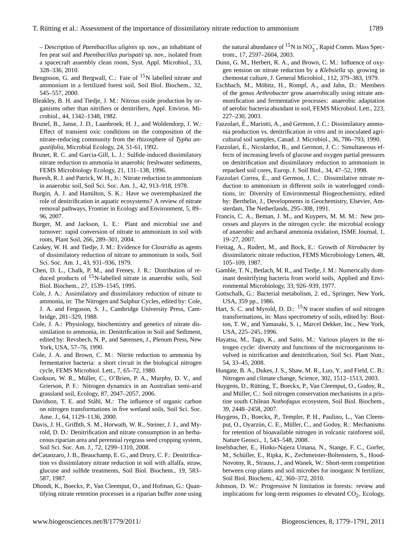– Description of *Paenibacillus uliginis* sp. nov., an inhabitant of fen peat soil and *Paenibacillus purispatii* sp. nov., isolated from a spacecraft assembly clean room, Syst. Appl. Microbiol., 33, 328–336, 2010.

- Bengtsson, G. and Bergwall, C.: Fate of  $15N$  labelled nitrate and ammonium in a fertilized forest soil, Soil Biol. Biochem., 32, 545–557, 2000.
- Bleakley, B. H. and Tiedje, J. M.: Nitrous oxide production by organisms other than nitrifiers or denitrifiers, Appl. Environ. Microbiol., 44, 1342–1348, 1982.
- Brunel, B., Janse, J. D., Laanbroek, H. J., and Woldendorp, J. W.: Effect of transient oxic conditions on the composition of the nitrate-reducing community from the rhizosphere of *Typha angustifolia*, Microbial Ecology, 24, 51-61, 1992.
- Brunet, R. C. and Garcia-Gill, L. J.: Sulfide-induced dissimilatory nitrate reduction to ammonia in anaerobic freshwater sediments, FEMS Microbiology Ecology, 21, 131–138, 1996.
- Buresh, R. J. and Patrick, W. H., Jr.: Nitrate reduction to ammonium in anaerobic soil, Soil Sci. Soc. Am. J., 42, 913–918, 1978.
- Burgin, A. J. and Hamilton, S. K.: Have we overemphasized the role of denitrification in aquatic ecosystems? A review of nitrate removal pathways, Frontier in Ecology and Environment, 5, 89– 96, 2007.
- Burger, M. and Jackson, L. E.: Plant and microbial use and turnover: rapid conversion of nitrate to ammonium in soil with roots, Plant Soil, 266, 289–301, 2004.
- Caskey, W. H. and Tiedje, J. M.: Evidence for *Clostridia* as agents of dissimilatory reduction of nitrate to ammonium in soils, Soil Sci. Soc. Am. J., 43, 931–936, 1979.
- Chen, D. L., Chalk, P. M., and Freney, J. R.: Distribution of reduced products of <sup>15</sup>N-labelled nitrate in anaerobic soils, Soil Biol. Biochem., 27, 1539–1545, 1995.
- Cole, J. A.: Assimilatory and dissimilatory reduction of nitrate to ammonia, in: The Nitrogen and Sulphur Cycles, edited by: Cole, J. A. and Ferguson, S. J., Cambridge University Press, Cambridge, 281–329, 1988.
- Cole, J. A.: Physiology, biochemistry and genetics of nitrate dissimilation to ammonia, in: Denitrification in Soil and Sediment, edited by: Revsbech, N. P., and Sørensen, J., Plenum Press, New York, USA, 57–76, 1990.
- Cole, J. A. and Brown, C. M.: Nitrite reduction to ammonia by fermentative bacteria: a short circuit in the biological nitrogen cycle, FEMS Microbiol. Lett., 7, 65–72, 1980.
- Cookson, W. R., Muller, C., O'Brien, P. A., Murphy, D. V., and ¨ Grierson, P. F.: Nitrogen dynamics in an Australian semi-arid grassland soil, Ecology, 87, 2047–2057, 2006.
- Davidson, T. E. and Ståhl, M.: The influence of organic carbon on nitrogen transformations in five wetland soils, Soil Sci. Soc. Ame. J., 64, 1129–1136, 2000.
- Davis, J. H., Griffith, S. M., Horwath, W. R., Steiner, J. J., and Myrold, D. D.: Denitrification and nitrate consumption in an herbaceous riparian area and perennial ryegrass seed cropping system, Soil Sci. Soc. Am. J., 72, 1299–1310, 2008.
- deCatanzaro, J. B., Beauchamp, E. G., and Drury, C. F.: Denitrification vs dissimilatory nitrate reduction in soil with alfalfa, straw, glucose and sulfide treatments, Soil Biol. Biochem., 19, 583– 587, 1987.
- Dhondt, K., Boeckx, P., Van Cleemput, O., and Hofman, G.: Quantifying nitrate retention processes in a riparian buffer zone using

the natural abundance of <sup>15</sup>N in NO<sub>3</sub><sup>-</sup>, Rapid Comm. Mass Spectrom., 17, 2597–2604, 2003.

- Dunn, G. M., Herbert, R. A., and Brown, C. M.: Influence of oxygen tension on nitrate reduction by a *Klebsiella* sp. growing in chemostat culture, J. General Microbiol., 112, 379–383, 1979.
- Eschbach, M., Möbitz, H., Rompf, A., and Jahn, D.: Members of the genus *Arthrobacter* grow anaerobically using nitrate ammonification and fermentative processes: anaerobic adaptation of aerobic bacteria abundant in soil, FEMS Microbiol. Lett., 223, 227–230, 2003.
- Fazzolari, E., Mariotti, A., and Germon, J. C.: Dissimilatory ammonia production vs. denitrification *in vitro* and in inoculated agricultural soil samples, Canad. J. Microbiol., 36, 786–793, 1990.
- Fazzolari, É., Nicolardot, B., and Germon, J. C.: Simultaneous effects of increasing levels of glucose and oxygen partial pressures on denitrification and dissimilatory reduction to ammonium in repacked soil cores, Europ. J. Soil Biol., 34, 47–52, 1998.
- Fazzolari Correa, É., and Germon, J. C.: Dissimilative nitrate reduction to ammonium in different soils in waterlogged conditions, in: Diversity of Environmental Biogeochemistry, edited by: Berthelin, J., Developments in Geochemistry, Elsevier, Amsterdam, The Netherlands, 295–308, 1991.
- Francis, C. A., Beman, J. M., and Kuypers, M. M. M.: New processes and players in the nitrogen cycle: the microbial ecology of anaerobic and archaeal ammonia oxidation, ISME Journal, 1, 19–27, 2007.
- Freitag, A., Rudert, M., and Bock, E.: Growth of *Nitrobacter* by dissimilatoric nitrate reduction, FEMS Microbiology Letters, 48, 105–109, 1987.
- Gamble, T. N., Betlach, M. R., and Tiedje, J. M.: Numerically dominant denitrifying bacteria from world soils, Applied and Environmental Microbiology, 33, 926–939, 1977.
- Gottschalk, G.: Bacterial metabolism, 2. ed., Springer, New York, USA, 359 pp., 1986.
- Hart, S. C. and Myrold, D. D.:  $15$ N tracer studies of soil nitrogen transformations, in: Mass spectrometry of soils, edited by: Boutton, T. W., and Yamasaki, S. i., Marcel Dekker, Inc., New York, USA, 225–245, 1996.
- Hayatsu, M., Tago, K., and Saito, M.: Various players in the nitrogen cycle: diversity and functions of the microorganisms involved in nitrification and denitrification, Soil Sci. Plant Nutr., 54, 33–45, 2008.
- Hungate, B. A., Dukes, J. S., Shaw, M. R., Luo, Y., and Field, C. B.: Nitrogen and climate change, Science, 302, 1512–1513, 2003.
- Huygens, D., Rütting, T., Boeckx, P., Van Cleemput, O., Godoy, R., and Müller, C.: Soil nitrogen conservation mechanisms in a pristine south Chilean *Nothofagus* ecosystem, Soil Biol. Biochem., 39, 2448–2458, 2007.
- Huygens, D., Boeckx, P., Templer, P. H., Paulino, L., Van Cleemput, O., Oyarzún, C. E., Müller, C., and Godoy, R.: Mechanisms for retention of bioavailable nitrogen in volcanic rainforest soil, Nature Geosci., 1, 543–548, 2008.
- Inselsbacher, E., Hinko-Najera Umana, N., Stange, F. C., Gorfer, M., Schüller, E., Ripka, K., Zechmeister-Boltenstern, S., Hood-Novotny, R., Strauss, J., and Wanek, W.: Short-term competition between crop plants and soil microbes for inorganic N fertilizer, Soil Biol. Biochem., 42, 360–372, 2010.
- Johnson, D. W.: Progressive N limitation in forests: review and implications for long-term responses to elevated  $CO<sub>2</sub>$ , Ecology,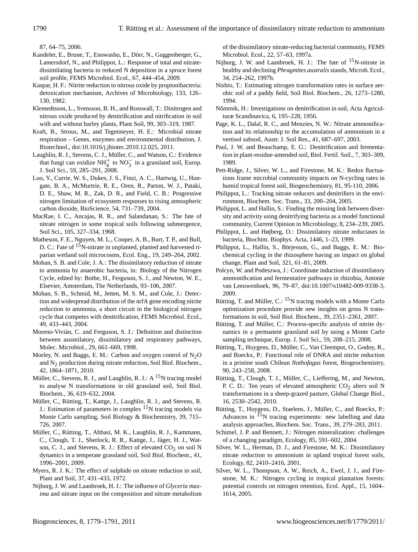87, 64–75, 2006.

- Kandeler, E., Brune, T., Enowashu, E., Dörr, N., Guggenberger, G., Lamersdorf, N., and Philippot, L.: Response of total and nitratedissimilating bacteria to reduced N deposition in a spruce forest soil profile, FEMS Microbiol. Ecol., 67, 444–454, 2009.
- Kaspar, H. F.: Nitrite reduction to nitrous oxide by propionibacteria: detoxication mechanism, Archives of Microbiology, 133, 126– 130, 1982.
- Klemedtsson, L., Svensson, B. H., and Rosswall, T.: Dinitrogen and nitrous oxide produced by denitrification and nitrification in soil with and without barley plants, Plant Soil, 99, 303–319, 1987.
- Kraft, B., Strous, M., and Tegetmeyer, H. E.: Microbial nitrate respiration – Genes, enzymes and environmental distribution, J. Biotechnol., [doi:10.1016/j.jbiotec.2010.12.025,](http://dx.doi.org/10.1016/j.jbiotec.2010.12.025) 2011.
- Laughlin, R. J., Stevens, C. J., Müller, C., and Watson, C.: Evidence that fungi can oxidize  $NH_4^+$  to  $NO_3^-$  in a grassland soil, Europ. J. Soil Sci., 59, 285–291, 2008.
- Luo, Y., Currie, W. S., Dukes, J. S., Finzi, A. C., Hartwig, U., Hungate, B. A., McMurtrie, R. E., Oren, R., Parton, W. J., Pataki, D. E., Shaw, M. R., Zak, D. R., and Field, C. B.: Progressive nitrogen limitation of ecosystem responses to rising atmospheric carbon dioxide, BioScience, 54, 731–739, 2004.
- MacRae, I. C., Ancajas, R. R., and Salandanan, S.: The fate of nitrate nitrogen in some tropical soils following submergence, Soil Sci., 105, 327–334, 1968.
- Matheson, F. E., Nguyen, M. L., Cooper, A. B., Burt, T. P., and Bull, D. C.: Fate of <sup>15</sup>N-nitrate in unplanted, planted and harvested riparian wetland soil microcosms, Ecol. Eng., 19, 249–264, 2002.
- Mohan, S. B. and Cole, J. A.: The dissimilatory reduction of nitrate to ammonia by anaerobic bacteria, in: Biology of the Nitrogen Cycle, edited by: Bothe, H., Ferguson, S. J., and Newton, W. E., Elsevier, Amsterdam, The Netherlands, 93–106, 2007.
- Mohan, S. B., Schmid, M., Jetten, M. S. M., and Cole, J.: Detection and widespread distribution of the nrfA gene encoding nitrite reduction to ammonia, a short circuit in the biological nitrogen cycle that competes with denitrification, FEMS Microbiol. Ecol., 49, 433–443, 2004.
- Moreno-Vivián, C. and Ferguson, S. J.: Definition and distinction between assimilatory, dissimilatory and respiratory pathways, Molec. Microbiol., 29, 661–669, 1998.
- Morley, N. and Baggs, E. M.: Carbon and oxygen control of  $N<sub>2</sub>O$ and N2 production during nitrate reduction, Soil Biol. Biochem., 42, 1864–1871, 2010.
- Müller, C., Stevens, R. J., and Laughlin, R. J.: A <sup>15</sup>N tracing model to analyse N transformations in old grassland soil, Soil Biol. Biochem., 36, 619–632, 2004.
- Müller, C., Rütting, T., Kattge, J., Laughlin, R. J., and Stevens, R. J.: Estimation of parameters in complex  $15N$  tracing models via Monte Carlo sampling, Soil Biology & Biochemistry, 39, 715– 726, 2007.
- Müller, C., Rütting, T., Abbasi, M. K., Laughlin, R. J., Kammann, C., Clough, T. J., Sherlock, R. R., Kattge, J., Jäger, H. J., Watson, C. J., and Stevens, R. J.: Effect of elevated CO<sub>2</sub> on soil N dynamics in a temperate grassland soil, Soil Biol. Biochem., 41, 1996–2001, 2009.
- Myers, R. J. K.: The effect of sulphide on nitrate reduction in soil, Plant and Soil, 37, 431–433, 1972.
- Nijburg, J. W. and Laanbroek, H. J.: The influence of *Glyceria maxima* and nitrate input on the composition and nitrate metabolism

of the dissimilatory nitrate-reducing bacterial community, FEMS Microbiol. Ecol., 22, 57–63, 1997a.

- Nijburg, J. W. and Laanbroek, H. J.: The fate of  $^{15}$ N-nitrate in healthy and declining *Phragmites australis*stands, Microb. Ecol., 34, 254–262, 1997b.
- Nishio, T.: Estimating nitrogen transformation rates in surface aerobic soil of a paddy field, Soil Biol. Biochem., 26, 1273–1280, 1994.
- Nõmmik, H.: Investigations on denitrification in soil, Acta Agriculturæ Scandinavica, 6, 195–228, 1956.
- Page, K. L., Dalal, R. C., and Menzies, N. W.: Nitrate ammonification and its relationship to the accumulation of ammonium in a vertisol subsoil, Austr. J. Soil Res., 41, 687–697, 2003.
- Paul, J. W. and Beauchamp, E. G.: Denitrification and fermentation in plant-residue-amended soil, Biol. Fertil. Soil., 7, 303–309, 1989.
- Pett-Ridge, J., Silver, W. L., and Firestone, M. K.: Redox fluctuations frame microbial community impacts on N-cycling rates in humid tropical forest soil, Biogeochemistry, 81, 95-110, 2006.
- Philippot, L.: Tracking nitrate reducers and denitrifiers in the environment, Biochem. Soc. Trans., 33, 200–204, 2005.
- Philippot, L. and Hallin, S.: Finding the missing link between diversity and activity using denitrifying bacteria as a model functional community, Current Opinion in Microbiology, 8, 234–239, 2005.
- Philippot, L. and Højberg, O.: Dissimilatory nitrate reductases in bacteria, Biochim. Biophys. Acta, 1446, 1–23, 1999.
- Philippot, L., Hallin, S., Börjesson, G., and Baggs, E. M.: Biochemical cycling in the rhizosphere having an impact on global change, Plant and Soil, 321, 61–81, 2009.
- Polcyn, W. and Podeszwa, J.: Coordinate induction of dissimilatory ammonification and fermentative pathways in rhizobia, Antonie van Leeuwenhoek, 96, 79–87, [doi:10.1007/s10482-009-9338-3,](http://dx.doi.org/10.1007/s10482-009-9338-3) 2009.
- Rütting, T. and Müller, C.:  ${}^{15}N$  tracing models with a Monte Carlo optimization procedure provide new insights on gross N transformations in soil, Soil Biol. Biochem., 39, 2351–2361, 2007.
- Rütting, T. and Müller, C.: Process-specific analysis of nitrite dynamics in a permanent grassland soil by using a Monte Carlo sampling technique, Europ. J. Soil Sci., 59, 208–215, 2008.
- Rütting, T., Huygens, D., Müller, C., Van Cleemput, O., Godoy, R., and Boeckx, P.: Functional role of DNRA and nitrite reduction in a pristine south Chilean *Nothofagus* forest, Biogeochemistry, 90, 243–258, 2008.
- Rütting, T., Clough, T. J., Müller, C., Lieffering, M., and Newton, P. C. D.: Ten years of elevated atmospheric  $CO<sub>2</sub>$  alters soil N transformations in a sheep-grazed pasture, Global Change Biol., 16, 2530–2542, 2010.
- Rütting, T., Huygens, D., Staelens, J., Müller, C., and Boeckx, P.: Advances in  $15N$  tracing experiments: new labelling and data analysis approaches, Biochem. Soc. Trans., 39, 279–283, 2011.
- Schimel, J. P. and Bennett, J.: Nitrogen mineralization: challenges of a changing paradigm, Ecology, 85, 591–602, 2004.
- Silver, W. L., Herman, D. J., and Firestone, M. K.: Dissimilatory nitrate reduction to ammonium in upland tropical forest soils, Ecology, 82, 2410–2416, 2001.
- Silver, W. L., Thompson, A. W., Reich, A., Ewel, J. J., and Firestone, M. K.: Nitrogen cycling in tropical plantation forests: potential controls on nitrogen retention, Ecol. Appl., 15, 1604– 1614, 2005.